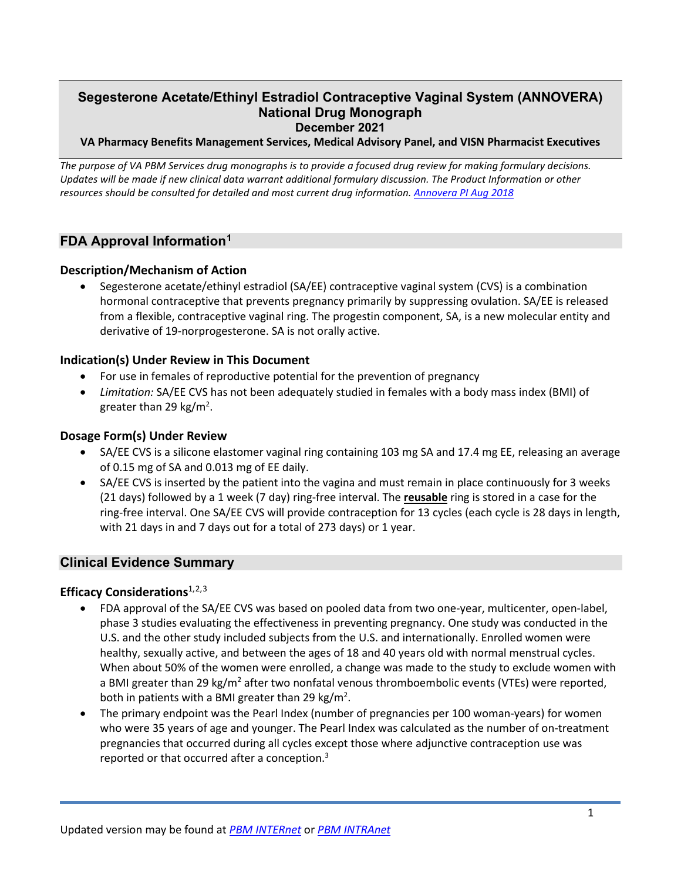# **December 2021 Segesterone Acetate/Ethinyl Estradiol Contraceptive Vaginal System (ANNOVERA) National Drug Monograph**

### **VA Pharmacy Benefits Management Services, Medical Advisory Panel, and VISN Pharmacist Executives**

*The purpose of VA PBM Services drug monographs is to provide a focused drug review for making formulary decisions.*  Updates will be made if new clinical data warrant additional formulary discussion. The Product Information or other *resources should be consulted for detailed and most current drug information. [Annovera PI Aug 2018](https://www.accessdata.fda.gov/drugsatfda_docs/label/2018/209627s000lbl.pdf)* 

### **FDA Approval Information[1](#page-5-0)**

### **Description/Mechanism of Action**

<span id="page-0-1"></span> from a flexible, contraceptive vaginal ring. The progestin component, SA, is a new molecular entity and derivative of 19-norprogesterone. SA is not orally active. • Segesterone acetate/ethinyl estradiol (SA/EE) contraceptive vaginal system (CVS) is a combination hormonal contraceptive that prevents pregnancy primarily by suppressing ovulation. SA/EE is released

### **Indication(s) Under Review in This Document**

- For use in females of reproductive potential for the prevention of pregnancy
- *Limitation:* SA/EE CVS has not been adequately studied in females with a body mass index (BMI) of greater than 29 kg/m<sup>2</sup>.

### **Dosage Form(s) Under Review**

- of 0.15 mg of SA and 0.013 mg of EE daily. • SA/EE CVS is a silicone elastomer vaginal ring containing 103 mg SA and 17.4 mg EE, releasing an average
- (21 days) followed by a 1 week (7 day) ring-free interval. The **reusable** ring is stored in a case for the with 21 days in and 7 days out for a total of 273 days) or 1 year. • SA/EE CVS is inserted by the patient into the vagina and must remain in place continuously for 3 weeks ring-free interval. One SA/EE CVS will provide contraception for 13 cycles (each cycle is 28 days in length,

### **Clinical Evidence Summary**

### **Efficacy Considerations**1,[2,](#page-5-1)[3](#page-5-2)

- <span id="page-0-2"></span><span id="page-0-0"></span> U.S. and the other study included subjects from the U.S. and internationally. Enrolled women were healthy, sexually active, and between the ages of 18 and 40 years old with normal menstrual cycles. a BMI greater than 29 kg/m<sup>2</sup> after two nonfatal venous thromboembolic events (VTEs) were reported, • FDA approval of the SA/EE CVS was based on pooled data from two one-year, multicenter, open-label, phase 3 studies evaluating the effectiveness in preventing pregnancy. One study was conducted in the When about 50% of the women were enrolled, a change was made to the study to exclude women with both in patients with a BMI greater than 29  $\text{kg/m}^2$ .
- • The primary endpoint was the Pearl Index (number of pregnancies per 100 woman-years) for women who were 35 years of age and younger. The Pearl Index was calculated as the number of on-treatment pregnancies that occurred during all cycles except those where adjunctive contraception use was reported or that occurred after a conception.<sup>3</sup>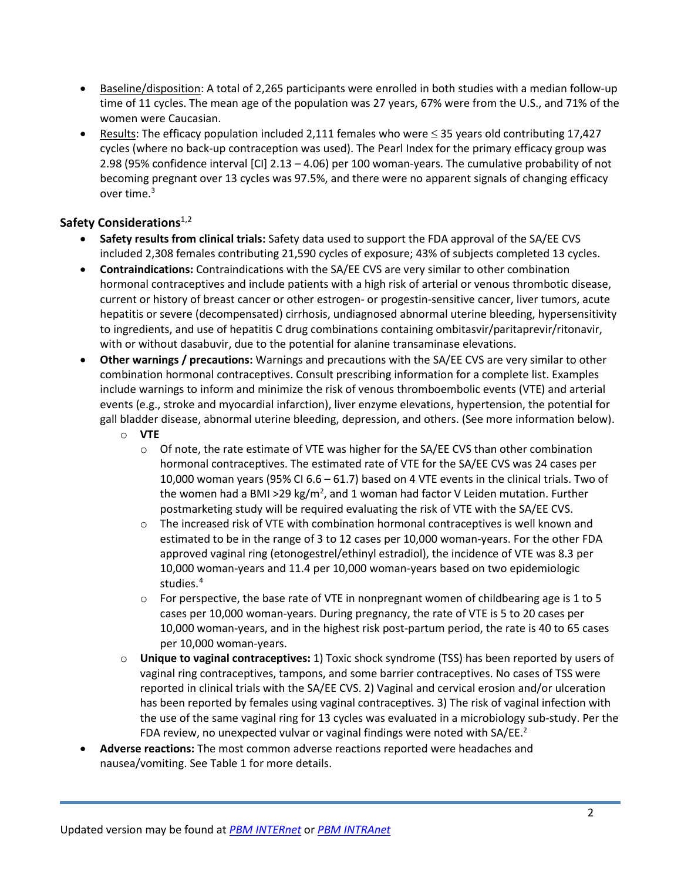- time of 11 cycles. The mean age of the population was 27 years, 67% were from the U.S., and 71% of the women were Caucasian. • Baseline/disposition: A total of 2,265 participants were enrolled in both studies with a median follow-up
- Results: The efficacy population included 2,111 females who were ≤ 35 years old contributing 17,427 cycles (where no back-up contraception was used). The Pearl Index for the primary efficacy group was 2.98 (95% confidence interval [CI] 2.13 – 4.06) per 100 woman-years. The cumulative probability of not becoming pregnant over 13 cycles was 97.5%, and there were no apparent signals of changing efficacy over time. $3$

## **Safety Considerations**<sup>[1,](#page-0-1)2</sup>

- **Safety results from clinical trials:** Safety data used to support the FDA approval of the SA/EE CVS included 2,308 females contributing 21,590 cycles of exposure; 43% of subjects completed 13 cycles.
- • **Contraindications:** Contraindications with the SA/EE CVS are very similar to other combination hormonal contraceptives and include patients with a high risk of arterial or venous thrombotic disease, with or without dasabuvir, due to the potential for alanine transaminase elevations. current or history of breast cancer or other estrogen- or progestin-sensitive cancer, liver tumors, acute hepatitis or severe (decompensated) cirrhosis, undiagnosed abnormal uterine bleeding, hypersensitivity to ingredients, and use of hepatitis C drug combinations containing ombitasvir/paritaprevir/ritonavir,
- • **Other warnings / precautions:** Warnings and precautions with the SA/EE CVS are very similar to other include warnings to inform and minimize the risk of venous thromboembolic events (VTE) and arterial gall bladder disease, abnormal uterine bleeding, depression, and others. (See more information below). combination hormonal contraceptives. Consult prescribing information for a complete list. Examples events (e.g., stroke and myocardial infarction), liver enzyme elevations, hypertension, the potential for
	- o **VTE** 
		- 10,000 woman years (95% CI 6.6 61.7) based on 4 VTE events in the clinical trials. Two of o Of note, the rate estimate of VTE was higher for the SA/EE CVS than other combination hormonal contraceptives. The estimated rate of VTE for the SA/EE CVS was 24 cases per the women had a BMI >29 kg/m<sup>2</sup>, and 1 woman had factor V Leiden mutation. Further postmarketing study will be required evaluating the risk of VTE with the SA/EE CVS.
		- $\circ$  The increased risk of VTE with combination hormonal contraceptives is well known and estimated to be in the range of 3 to 12 cases per 10,000 woman-years. For the other FDA approved vaginal ring (etonogestrel/ethinyl estradiol), the incidence of VTE was 8.3 per 10,000 woman-years and 11.4 per 10,000 woman-years based on two epidemiologic studies.<sup>4</sup>
		- $\circ$  For perspective, the base rate of VTE in nonpregnant women of childbearing age is 1 to 5 10,000 woman-years, and in the highest risk post-partum period, the rate is 40 to 65 cases cases per 10,000 woman-years. During pregnancy, the rate of VTE is 5 to 20 cases per per 10,000 woman-years.
	- vaginal ring contraceptives, tampons, and some barrier contraceptives. No cases of TSS were the use of the same vaginal ring for 13 cycles was evaluated in a microbiology sub-study. Per the FDA review, no unexpected vulvar or vaginal findings were noted with SA/EE.<sup>2</sup> o **Unique to vaginal contraceptives:** 1) Toxic shock syndrome (TSS) has been reported by users of reported in clinical trials with the SA/EE CVS. 2) Vaginal and cervical erosion and/or ulceration has been reported by females using vaginal contraceptives. 3) The risk of vaginal infection with
- **Adverse reactions:** The most common adverse reactions reported were headaches and nausea/vomiting. See Table 1 for more details.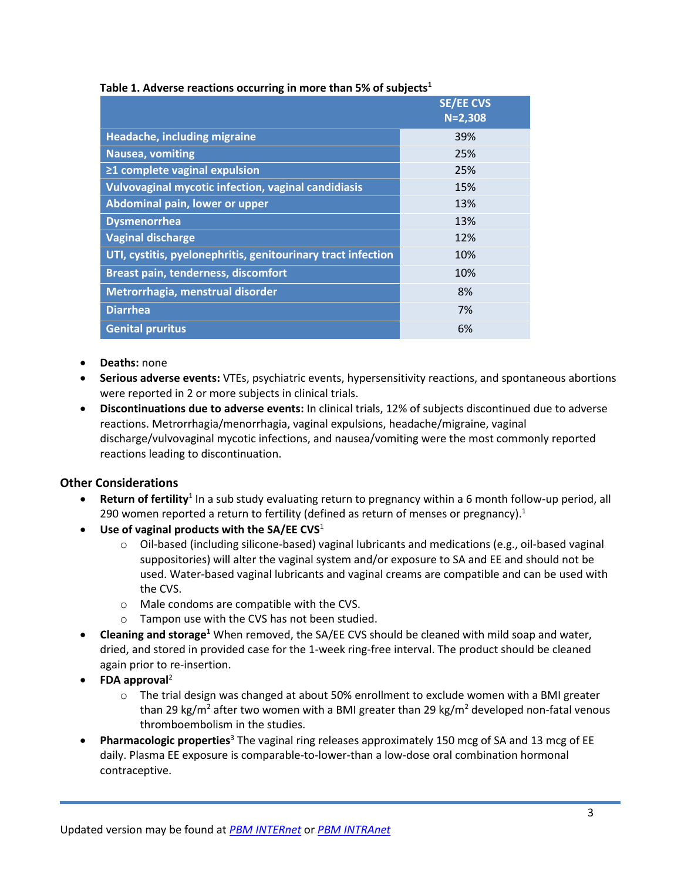|                                                              | <b>SE/EE CVS</b><br>$N = 2,308$ |
|--------------------------------------------------------------|---------------------------------|
| Headache, including migraine                                 | 39%                             |
| Nausea, vomiting                                             | 25%                             |
| ≥1 complete vaginal expulsion                                | 25%                             |
| <b>Vulvovaginal mycotic infection, vaginal candidiasis</b>   | 15%                             |
| Abdominal pain, lower or upper                               | 13%                             |
| <b>Dysmenorrhea</b>                                          | 13%                             |
| <b>Vaginal discharge</b>                                     | 12%                             |
| UTI, cystitis, pyelonephritis, genitourinary tract infection | 10%                             |
| <b>Breast pain, tenderness, discomfort</b>                   | 10%                             |
| Metrorrhagia, menstrual disorder                             | 8%                              |
| <b>Diarrhea</b>                                              | 7%                              |
| <b>Genital pruritus</b>                                      | 6%                              |

### **Table 1. Adverse reactions occurring in more than 5% of subject[s1](#page-0-1)**

- **Deaths:** none
- were reported in 2 or more subjects in clinical trials. • **Serious adverse events:** VTEs, psychiatric events, hypersensitivity reactions, and spontaneous abortions
- discharge/vulvovaginal mycotic infections, and nausea/vomiting were the most commonly reported • **Discontinuations due to adverse events:** In clinical trials, 12% of subjects discontinued due to adverse reactions. Metrorrhagia/menorrhagia, vaginal expulsions, headache/migraine, vaginal reactions leading to discontinuation.

# **Other Considerations**

- **Return of fertility**<sup>1</sup> In a sub study evaluating return to pregnancy within a 6 month follow-up period, all 290 women reported a return to fertility (defined as return of menses or pregnancy). $<sup>1</sup>$ </sup>
- **Use of vaginal products with the SA/EE CVS**[1](#page-0-1) 
	- used. Water-based vaginal lubricants and vaginal creams are compatible and can be used with  $\circ$  Oil-based (including silicone-based) vaginal lubricants and medications (e.g., oil-based vaginal suppositories) will alter the vaginal system and/or exposure to SA and EE and should not be the CVS.
	- o Male condoms are compatible with the CVS.
	- o Tampon use with the CVS has not been studied.
- • **Cleaning and storag[e1](#page-0-1)** When removed, the SA/EE CVS should be cleaned with mild soap and water, dried, and stored in provided case for the 1-week ring-free interval. The product should be cleaned again prior to re-insertion.
- **FDA approval**[2](#page-0-2) 
	- o The trial design was changed at about 50% enrollment to exclude women with a BMI greater  thromboembolism in the studies. than 29 kg/m<sup>2</sup> after two women with a BMI greater than 29 kg/m<sup>2</sup> developed non-fatal venous
- • **Pharmacologic properties**[3](#page-0-0) The vaginal ring releases approximately 150 mcg of SA and 13 mcg of EE daily. Plasma EE exposure is comparable-to-lower-than a low-dose oral combination hormonal contraceptive.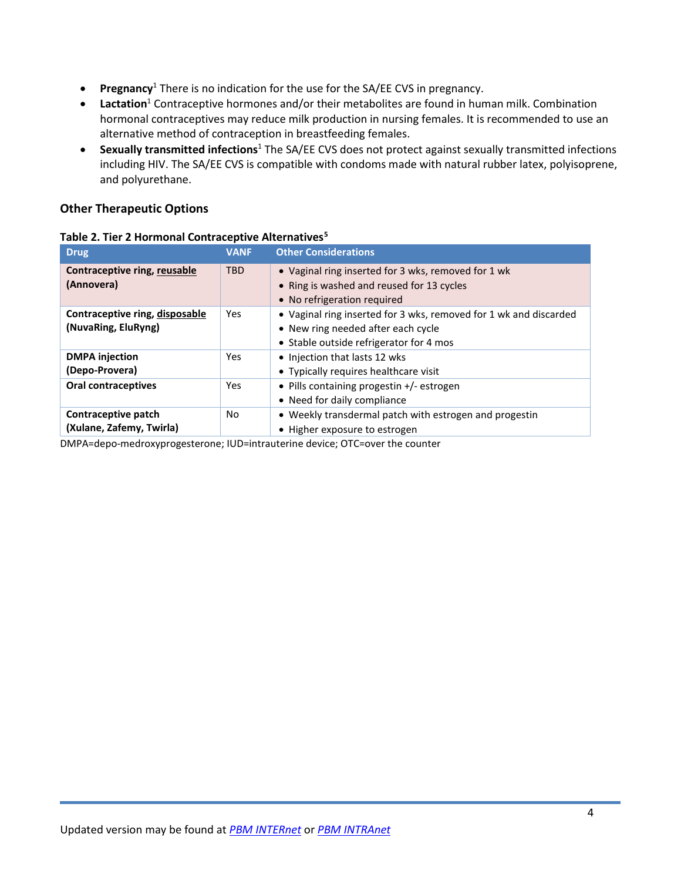- **Pregnancy**[1](#page-0-1) There is no indication for the use for the SA/EE CVS in pregnancy.
- alternative method of contraception in breastfeeding females. • Lactation<sup>1</sup> Contraceptive hormones and/or their metabolites are found in human milk. Combination hormonal contraceptives may reduce milk production in nursing females. It is recommended to use an
- including HIV. The SA/EE CVS is compatible with condoms made with natural rubber latex, polyisoprene, • **Sexually transmitted infections**[1 T](#page-0-1)he SA/EE CVS does not protect against sexually transmitted infections and polyurethane.

## **Other Therapeutic Options**

| <b>Drug</b>                                           | <b>VANF</b> | <b>Other Considerations</b>                                                                                                                        |
|-------------------------------------------------------|-------------|----------------------------------------------------------------------------------------------------------------------------------------------------|
| Contraceptive ring, reusable<br>(Annovera)            | <b>TBD</b>  | • Vaginal ring inserted for 3 wks, removed for 1 wk<br>• Ring is washed and reused for 13 cycles<br>• No refrigeration required                    |
| Contraceptive ring, disposable<br>(NuvaRing, EluRyng) | Yes         | • Vaginal ring inserted for 3 wks, removed for 1 wk and discarded<br>• New ring needed after each cycle<br>• Stable outside refrigerator for 4 mos |
| <b>DMPA</b> injection<br>(Depo-Provera)               | Yes.        | • Injection that lasts 12 wks<br>• Typically requires healthcare visit                                                                             |
| <b>Oral contraceptives</b>                            | Yes         | • Pills containing progestin +/- estrogen<br>• Need for daily compliance                                                                           |
| Contraceptive patch<br>(Xulane, Zafemy, Twirla)       | No.         | • Weekly transdermal patch with estrogen and progestin<br>• Higher exposure to estrogen                                                            |

### **Table 2. Tier 2 Hormonal Contraceptive Alternative[s5](#page-5-4)**

DMPA=depo-medroxyprogesterone; IUD=intrauterine device; OTC=over the counter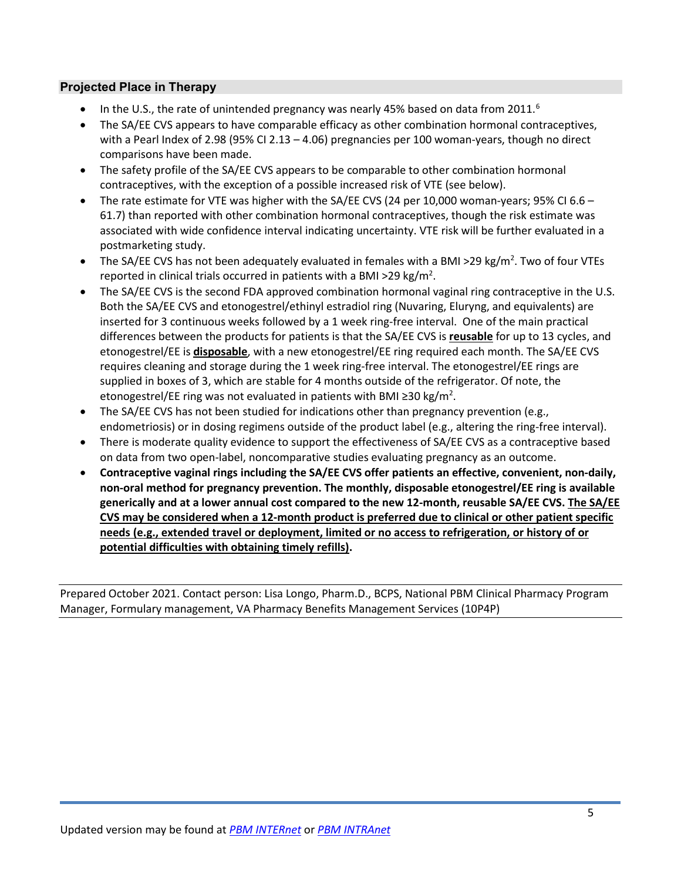## **Projected Place in Therapy**

- In the U.S., the rate of unintended pregnancy was nearly 45% based on data from 2011.<sup>6</sup>
- with a Pearl Index of 2.98 (95% CI 2.13 4.06) pregnancies per 100 woman-years, though no direct • The SA/EE CVS appears to have comparable efficacy as other combination hormonal contraceptives, comparisons have been made.
- contraceptives, with the exception of a possible increased risk of VTE (see below). • The safety profile of the SA/EE CVS appears to be comparable to other combination hormonal
- • The rate estimate for VTE was higher with the SA/EE CVS (24 per 10,000 woman-years; 95% CI 6.6 61.7) than reported with other combination hormonal contraceptives, though the risk estimate was associated with wide confidence interval indicating uncertainty. VTE risk will be further evaluated in a postmarketing study.
- The SA/EE CVS has not been adequately evaluated in females with a BMI >29 kg/m<sup>2</sup>. Two of four VTEs reported in clinical trials occurred in patients with a BMI >29 kg/m<sup>2</sup>.
- etonogestrel/EE is **disposable**, with a new etonogestrel/EE ring required each month. The SA/EE CVS requires cleaning and storage during the 1 week ring-free interval. The etonogestrel/EE rings are etonogestrel/EE ring was not evaluated in patients with BMI ≥30 kg/m<sup>2</sup>. • The SA/EE CVS is the second FDA approved combination hormonal vaginal ring contraceptive in the U.S. Both the SA/EE CVS and etonogestrel/ethinyl estradiol ring (Nuvaring, Eluryng, and equivalents) are inserted for 3 continuous weeks followed by a 1 week ring-free interval. One of the main practical differences between the products for patients is that the SA/EE CVS is **reusable** for up to 13 cycles, and supplied in boxes of 3, which are stable for 4 months outside of the refrigerator. Of note, the
- endometriosis) or in dosing regimens outside of the product label (e.g., altering the ring-free interval). • The SA/EE CVS has not been studied for indications other than pregnancy prevention (e.g.,
- • There is moderate quality evidence to support the effectiveness of SA/EE CVS as a contraceptive based on data from two open-label, noncomparative studies evaluating pregnancy as an outcome.
- **Contraceptive vaginal rings including the SA/EE CVS offer patients an effective, convenient, non-daily, generically and at a lower annual cost compared to the new 12-month, reusable SA/EE CVS. The SA/EE potential difficulties with obtaining timely refills). non-oral method for pregnancy prevention. The monthly, disposable etonogestrel/EE ring is available CVS may be considered when a 12-month product is preferred due to clinical or other patient specific needs (e.g., extended travel or deployment, limited or no access to refrigeration, or history of or**

 Prepared October 2021. Contact person: Lisa Longo, Pharm.D., BCPS, National PBM Clinical Pharmacy Program Manager, Formulary management, VA Pharmacy Benefits Management Services (10P4P)